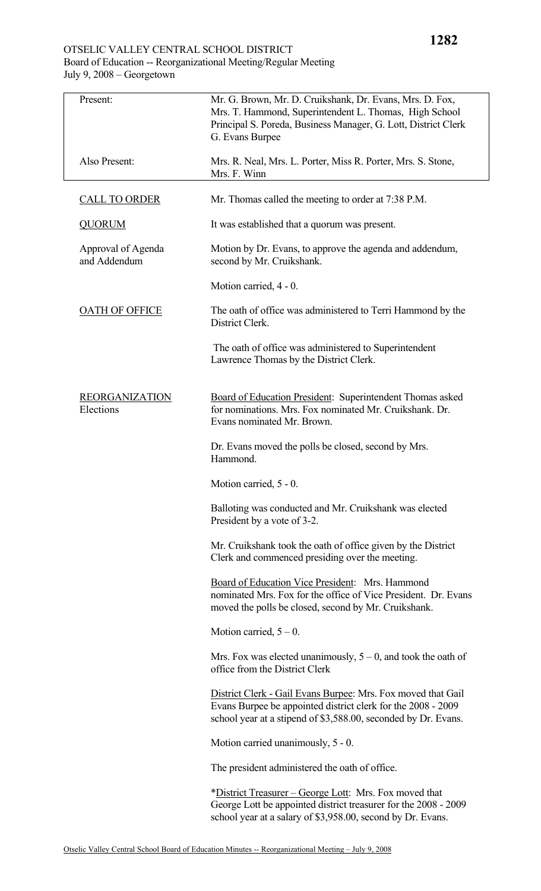## OTSELIC VALLEY CENTRAL SCHOOL DISTRICT Board of Education -- Reorganizational Meeting/Regular Meeting July 9, 2008 – Georgetown

| Present:                           | Mr. G. Brown, Mr. D. Cruikshank, Dr. Evans, Mrs. D. Fox,<br>Mrs. T. Hammond, Superintendent L. Thomas, High School<br>Principal S. Poreda, Business Manager, G. Lott, District Clerk<br>G. Evans Burpee |
|------------------------------------|---------------------------------------------------------------------------------------------------------------------------------------------------------------------------------------------------------|
| Also Present:                      | Mrs. R. Neal, Mrs. L. Porter, Miss R. Porter, Mrs. S. Stone,<br>Mrs. F. Winn                                                                                                                            |
| <b>CALL TO ORDER</b>               | Mr. Thomas called the meeting to order at 7:38 P.M.                                                                                                                                                     |
| <b>QUORUM</b>                      | It was established that a quorum was present.                                                                                                                                                           |
| Approval of Agenda<br>and Addendum | Motion by Dr. Evans, to approve the agenda and addendum,<br>second by Mr. Cruikshank.                                                                                                                   |
|                                    | Motion carried, 4 - 0.                                                                                                                                                                                  |
| <b>OATH OF OFFICE</b>              | The oath of office was administered to Terri Hammond by the<br>District Clerk.                                                                                                                          |
|                                    | The oath of office was administered to Superintendent<br>Lawrence Thomas by the District Clerk.                                                                                                         |
| <b>REORGANIZATION</b><br>Elections | Board of Education President: Superintendent Thomas asked<br>for nominations. Mrs. Fox nominated Mr. Cruikshank. Dr.<br>Evans nominated Mr. Brown.                                                      |
|                                    | Dr. Evans moved the polls be closed, second by Mrs.<br>Hammond.                                                                                                                                         |
|                                    | Motion carried, 5 - 0.                                                                                                                                                                                  |
|                                    | Balloting was conducted and Mr. Cruikshank was elected<br>President by a vote of 3-2.                                                                                                                   |
|                                    | Mr. Cruikshank took the oath of office given by the District<br>Clerk and commenced presiding over the meeting.                                                                                         |
|                                    | Board of Education Vice President: Mrs. Hammond<br>nominated Mrs. Fox for the office of Vice President. Dr. Evans<br>moved the polls be closed, second by Mr. Cruikshank.                               |
|                                    | Motion carried, $5 - 0$ .                                                                                                                                                                               |
|                                    | Mrs. Fox was elected unanimously, $5 - 0$ , and took the oath of<br>office from the District Clerk                                                                                                      |
|                                    | District Clerk - Gail Evans Burpee: Mrs. Fox moved that Gail<br>Evans Burpee be appointed district clerk for the 2008 - 2009<br>school year at a stipend of \$3,588.00, seconded by Dr. Evans.          |
|                                    | Motion carried unanimously, 5 - 0.                                                                                                                                                                      |
|                                    | The president administered the oath of office.                                                                                                                                                          |
|                                    | *District Treasurer – George Lott: Mrs. Fox moved that<br>George Lott be appointed district treasurer for the 2008 - 2009<br>school year at a salary of \$3,958.00, second by Dr. Evans.                |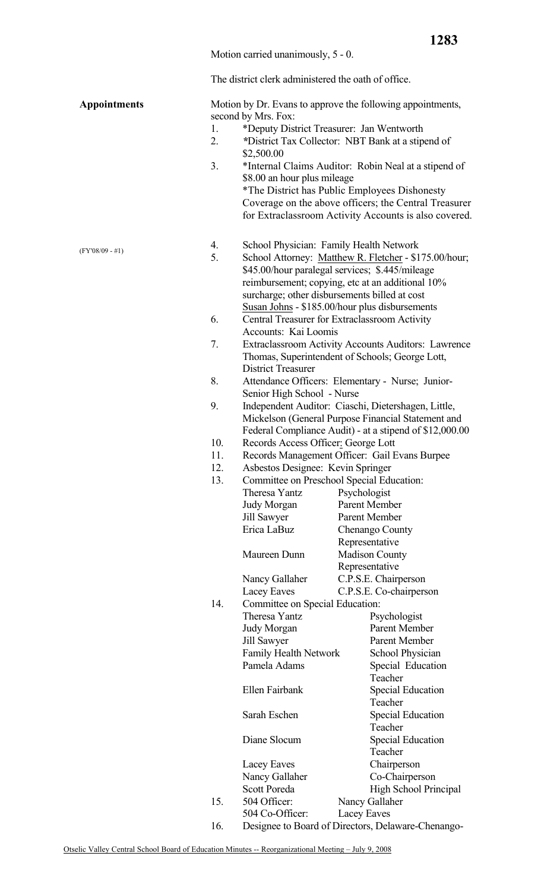Motion carried unanimously, 5 - 0.

The district clerk administered the oath of office.

| <b>Appointments</b> |     | second by Mrs. Fox:                           |  | Motion by Dr. Evans to approve the following appointments,                                               |
|---------------------|-----|-----------------------------------------------|--|----------------------------------------------------------------------------------------------------------|
|                     | 1.  | *Deputy District Treasurer: Jan Wentworth     |  |                                                                                                          |
|                     | 2.  | \$2,500.00                                    |  | *District Tax Collector: NBT Bank at a stipend of                                                        |
|                     | 3.  |                                               |  | *Internal Claims Auditor: Robin Neal at a stipend of                                                     |
|                     |     | \$8.00 an hour plus mileage                   |  |                                                                                                          |
|                     |     |                                               |  | *The District has Public Employees Dishonesty                                                            |
|                     |     |                                               |  | Coverage on the above officers; the Central Treasurer                                                    |
|                     |     |                                               |  | for Extraclassroom Activity Accounts is also covered.                                                    |
| $(FY'08/09 - #1)$   | 4.  | School Physician: Family Health Network       |  |                                                                                                          |
|                     | 5.  |                                               |  | School Attorney: Matthew R. Fletcher - \$175.00/hour;<br>\$45.00/hour paralegal services; \$.445/mileage |
|                     |     |                                               |  | reimbursement; copying, etc at an additional 10%                                                         |
|                     |     | surcharge; other disbursements billed at cost |  |                                                                                                          |
|                     |     |                                               |  | Susan Johns - \$185.00/hour plus disbursements                                                           |
|                     | 6.  | Central Treasurer for Extraclassroom Activity |  |                                                                                                          |
|                     | 7.  | Accounts: Kai Loomis                          |  | Extraclassroom Activity Accounts Auditors: Lawrence                                                      |
|                     |     | <b>District Treasurer</b>                     |  | Thomas, Superintendent of Schools; George Lott,                                                          |
|                     | 8.  |                                               |  | Attendance Officers: Elementary - Nurse; Junior-                                                         |
|                     |     | Senior High School - Nurse                    |  |                                                                                                          |
|                     | 9.  |                                               |  | Independent Auditor: Ciaschi, Dietershagen, Little,                                                      |
|                     |     |                                               |  | Mickelson (General Purpose Financial Statement and                                                       |
|                     |     |                                               |  | Federal Compliance Audit) - at a stipend of \$12,000.00                                                  |
|                     | 10. | Records Access Officer: George Lott           |  |                                                                                                          |
|                     | 11. | Records Management Officer: Gail Evans Burpee |  |                                                                                                          |
|                     | 12. | Asbestos Designee: Kevin Springer             |  |                                                                                                          |
|                     | 13. | Committee on Preschool Special Education:     |  |                                                                                                          |
|                     |     | Theresa Yantz                                 |  | Psychologist                                                                                             |
|                     |     | Judy Morgan                                   |  | Parent Member<br>Parent Member                                                                           |
|                     |     | Jill Sawyer<br>Erica LaBuz                    |  | Chenango County                                                                                          |
|                     |     |                                               |  | Representative                                                                                           |
|                     |     | Maureen Dunn                                  |  | <b>Madison County</b>                                                                                    |
|                     |     |                                               |  | Representative                                                                                           |
|                     |     | Nancy Gallaher                                |  | C.P.S.E. Chairperson                                                                                     |
|                     |     | Lacey Eaves                                   |  | C.P.S.E. Co-chairperson                                                                                  |
|                     | 14. | Committee on Special Education:               |  |                                                                                                          |
|                     |     | Theresa Yantz                                 |  | Psychologist                                                                                             |
|                     |     | Judy Morgan                                   |  | Parent Member                                                                                            |
|                     |     | Jill Sawyer                                   |  | Parent Member                                                                                            |
|                     |     | Family Health Network                         |  | <b>School Physician</b>                                                                                  |
|                     |     | Pamela Adams                                  |  | Special Education                                                                                        |
|                     |     | Ellen Fairbank                                |  | Teacher<br><b>Special Education</b>                                                                      |
|                     |     |                                               |  | Teacher                                                                                                  |
|                     |     | Sarah Eschen                                  |  | <b>Special Education</b>                                                                                 |
|                     |     |                                               |  | Teacher                                                                                                  |
|                     |     | Diane Slocum                                  |  | <b>Special Education</b>                                                                                 |
|                     |     |                                               |  | Teacher                                                                                                  |
|                     |     | Lacey Eaves                                   |  | Chairperson                                                                                              |
|                     |     | Nancy Gallaher                                |  | Co-Chairperson                                                                                           |
|                     |     | <b>Scott Poreda</b>                           |  | High School Principal                                                                                    |
|                     | 15. | 504 Officer:                                  |  | Nancy Gallaher                                                                                           |
|                     |     | 504 Co-Officer:                               |  | Lacey Eaves                                                                                              |
|                     | 16. |                                               |  | Designee to Board of Directors, Delaware-Chenango-                                                       |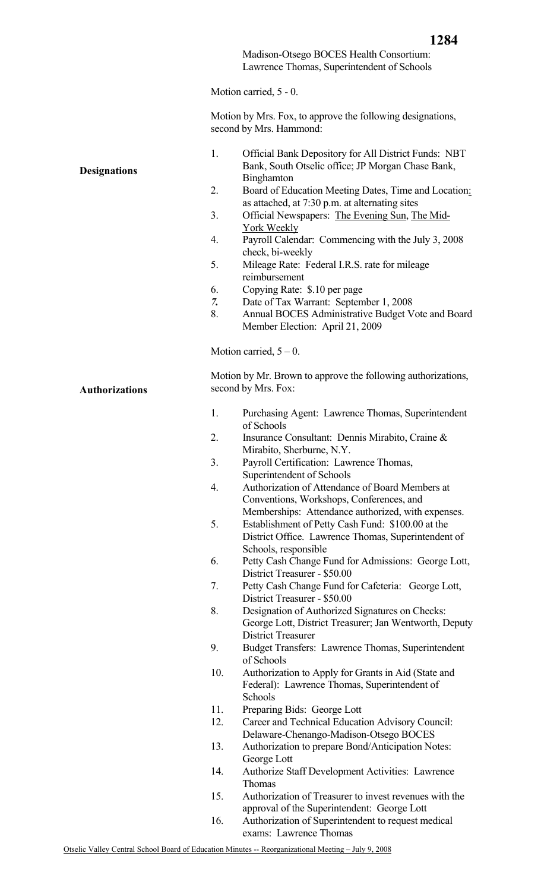Madison-Otsego BOCES Health Consortium: Lawrence Thomas, Superintendent of Schools

Motion carried, 5 - 0.

Motion by Mrs. Fox, to approve the following designations, second by Mrs. Hammond:

| <b>Designations</b>   | 1.<br>2.<br>3.<br>4.<br>5.<br>6.<br>7. | Official Bank Depository for All District Funds: NBT<br>Bank, South Otselic office; JP Morgan Chase Bank,<br><b>Binghamton</b><br>Board of Education Meeting Dates, Time and Location:<br>as attached, at 7:30 p.m. at alternating sites<br>Official Newspapers: The Evening Sun, The Mid-<br>York Weekly<br>Payroll Calendar: Commencing with the July 3, 2008<br>check, bi-weekly<br>Mileage Rate: Federal I.R.S. rate for mileage<br>reimbursement<br>Copying Rate: \$.10 per page<br>Date of Tax Warrant: September 1, 2008 |
|-----------------------|----------------------------------------|---------------------------------------------------------------------------------------------------------------------------------------------------------------------------------------------------------------------------------------------------------------------------------------------------------------------------------------------------------------------------------------------------------------------------------------------------------------------------------------------------------------------------------|
|                       | 8.                                     | Annual BOCES Administrative Budget Vote and Board<br>Member Election: April 21, 2009                                                                                                                                                                                                                                                                                                                                                                                                                                            |
|                       |                                        |                                                                                                                                                                                                                                                                                                                                                                                                                                                                                                                                 |
|                       |                                        | Motion carried, $5 - 0$ .                                                                                                                                                                                                                                                                                                                                                                                                                                                                                                       |
| <b>Authorizations</b> |                                        | Motion by Mr. Brown to approve the following authorizations,<br>second by Mrs. Fox:                                                                                                                                                                                                                                                                                                                                                                                                                                             |
|                       | 1.                                     | Purchasing Agent: Lawrence Thomas, Superintendent<br>of Schools                                                                                                                                                                                                                                                                                                                                                                                                                                                                 |
|                       | 2.                                     | Insurance Consultant: Dennis Mirabito, Craine &                                                                                                                                                                                                                                                                                                                                                                                                                                                                                 |
|                       | 3.                                     | Mirabito, Sherburne, N.Y.<br>Payroll Certification: Lawrence Thomas,                                                                                                                                                                                                                                                                                                                                                                                                                                                            |
|                       |                                        | Superintendent of Schools                                                                                                                                                                                                                                                                                                                                                                                                                                                                                                       |
|                       | 4.                                     | Authorization of Attendance of Board Members at                                                                                                                                                                                                                                                                                                                                                                                                                                                                                 |
|                       |                                        | Conventions, Workshops, Conferences, and<br>Memberships: Attendance authorized, with expenses.                                                                                                                                                                                                                                                                                                                                                                                                                                  |
|                       | 5.                                     | Establishment of Petty Cash Fund: \$100.00 at the<br>District Office. Lawrence Thomas, Superintendent of<br>Schools, responsible                                                                                                                                                                                                                                                                                                                                                                                                |
|                       | 6.                                     | Petty Cash Change Fund for Admissions: George Lott,<br>District Treasurer - \$50.00                                                                                                                                                                                                                                                                                                                                                                                                                                             |
|                       | 7.                                     | Petty Cash Change Fund for Cafeteria: George Lott,                                                                                                                                                                                                                                                                                                                                                                                                                                                                              |
|                       | 8.                                     | District Treasurer - \$50.00<br>Designation of Authorized Signatures on Checks:                                                                                                                                                                                                                                                                                                                                                                                                                                                 |
|                       |                                        | George Lott, District Treasurer; Jan Wentworth, Deputy<br><b>District Treasurer</b>                                                                                                                                                                                                                                                                                                                                                                                                                                             |
|                       | 9.                                     | Budget Transfers: Lawrence Thomas, Superintendent<br>of Schools                                                                                                                                                                                                                                                                                                                                                                                                                                                                 |
|                       | 10.                                    | Authorization to Apply for Grants in Aid (State and                                                                                                                                                                                                                                                                                                                                                                                                                                                                             |
|                       |                                        | Federal): Lawrence Thomas, Superintendent of<br>Schools                                                                                                                                                                                                                                                                                                                                                                                                                                                                         |
|                       | 11.                                    | Preparing Bids: George Lott                                                                                                                                                                                                                                                                                                                                                                                                                                                                                                     |
|                       | 12.                                    | Career and Technical Education Advisory Council:                                                                                                                                                                                                                                                                                                                                                                                                                                                                                |
|                       | 13.                                    | Delaware-Chenango-Madison-Otsego BOCES<br>Authorization to prepare Bond/Anticipation Notes:                                                                                                                                                                                                                                                                                                                                                                                                                                     |
|                       |                                        | George Lott                                                                                                                                                                                                                                                                                                                                                                                                                                                                                                                     |
|                       | 14.                                    | <b>Authorize Staff Development Activities: Lawrence</b><br><b>Thomas</b>                                                                                                                                                                                                                                                                                                                                                                                                                                                        |
|                       | 15.                                    | Authorization of Treasurer to invest revenues with the                                                                                                                                                                                                                                                                                                                                                                                                                                                                          |
|                       | 16                                     | approval of the Superintendent: George Lott<br>Authorization of Superintendent to request modical                                                                                                                                                                                                                                                                                                                                                                                                                               |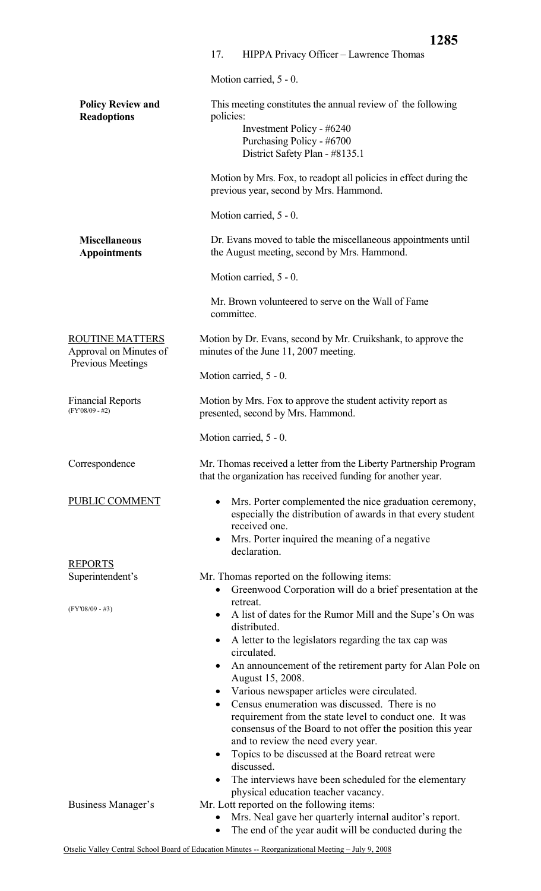|                                                  | 1285                                                                                                                                                                                                                                                                                                                                                                                                |
|--------------------------------------------------|-----------------------------------------------------------------------------------------------------------------------------------------------------------------------------------------------------------------------------------------------------------------------------------------------------------------------------------------------------------------------------------------------------|
|                                                  | 17.<br>HIPPA Privacy Officer - Lawrence Thomas                                                                                                                                                                                                                                                                                                                                                      |
|                                                  | Motion carried, 5 - 0.                                                                                                                                                                                                                                                                                                                                                                              |
| <b>Policy Review and</b><br><b>Readoptions</b>   | This meeting constitutes the annual review of the following<br>policies:<br>Investment Policy - #6240<br>Purchasing Policy - #6700<br>District Safety Plan - #8135.1                                                                                                                                                                                                                                |
|                                                  | Motion by Mrs. Fox, to readopt all policies in effect during the<br>previous year, second by Mrs. Hammond.                                                                                                                                                                                                                                                                                          |
|                                                  | Motion carried, 5 - 0.                                                                                                                                                                                                                                                                                                                                                                              |
| <b>Miscellaneous</b><br><b>Appointments</b>      | Dr. Evans moved to table the miscellaneous appointments until<br>the August meeting, second by Mrs. Hammond.                                                                                                                                                                                                                                                                                        |
|                                                  | Motion carried, 5 - 0.                                                                                                                                                                                                                                                                                                                                                                              |
|                                                  | Mr. Brown volunteered to serve on the Wall of Fame<br>committee.                                                                                                                                                                                                                                                                                                                                    |
| <b>ROUTINE MATTERS</b><br>Approval on Minutes of | Motion by Dr. Evans, second by Mr. Cruikshank, to approve the<br>minutes of the June 11, 2007 meeting.                                                                                                                                                                                                                                                                                              |
| Previous Meetings                                | Motion carried, 5 - 0.                                                                                                                                                                                                                                                                                                                                                                              |
| <b>Financial Reports</b><br>$(FY'08/09 - #2)$    | Motion by Mrs. Fox to approve the student activity report as<br>presented, second by Mrs. Hammond.                                                                                                                                                                                                                                                                                                  |
|                                                  | Motion carried, 5 - 0.                                                                                                                                                                                                                                                                                                                                                                              |
| Correspondence                                   | Mr. Thomas received a letter from the Liberty Partnership Program<br>that the organization has received funding for another year.                                                                                                                                                                                                                                                                   |
| PUBLIC COMMENT                                   | Mrs. Porter complemented the nice graduation ceremony,<br>$\bullet$<br>especially the distribution of awards in that every student<br>received one.<br>Mrs. Porter inquired the meaning of a negative<br>$\bullet$<br>declaration.                                                                                                                                                                  |
| <b>REPORTS</b>                                   |                                                                                                                                                                                                                                                                                                                                                                                                     |
| Superintendent's                                 | Mr. Thomas reported on the following items:<br>Greenwood Corporation will do a brief presentation at the                                                                                                                                                                                                                                                                                            |
| $(FY'08/09 - #3)$                                | retreat.<br>A list of dates for the Rumor Mill and the Supe's On was<br>distributed.                                                                                                                                                                                                                                                                                                                |
|                                                  | A letter to the legislators regarding the tax cap was<br>circulated.<br>An announcement of the retirement party for Alan Pole on<br>$\bullet$<br>August 15, 2008.                                                                                                                                                                                                                                   |
|                                                  | Various newspaper articles were circulated.<br>Census enumeration was discussed. There is no<br>$\bullet$<br>requirement from the state level to conduct one. It was<br>consensus of the Board to not offer the position this year<br>and to review the need every year.<br>Topics to be discussed at the Board retreat were<br>discussed.<br>The interviews have been scheduled for the elementary |
| Business Manager's                               | physical education teacher vacancy.<br>Mr. Lott reported on the following items:<br>Mrs. Neal gave her quarterly internal auditor's report.<br>The end of the year audit will be conducted during the                                                                                                                                                                                               |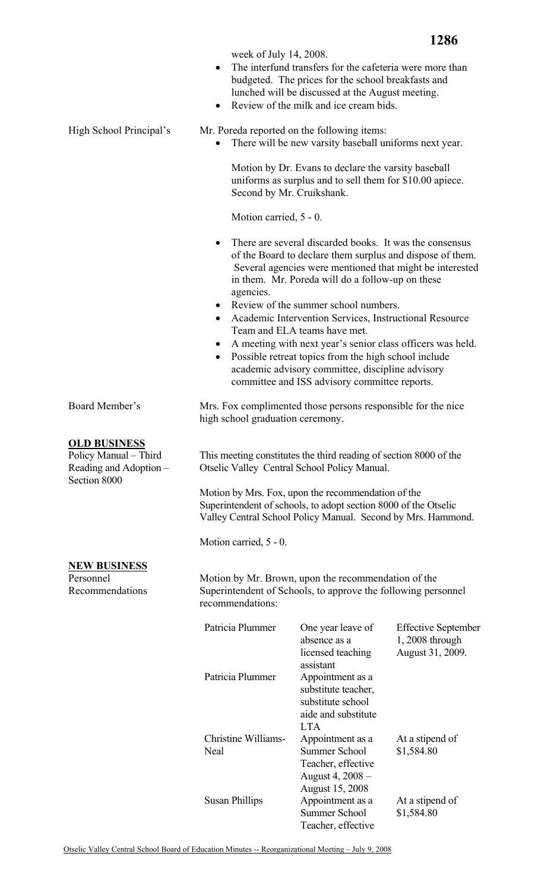**1286**

week of July 14, 2008.

- The interfund transfers for the cafeteria were more than budgeted. The prices for the school breakfasts and lunched will be discussed at the August meeting.
- Review of the milk and ice cream bids.

High School Principal's Mr. Poreda reported on the following items:

• There will be new varsity baseball uniforms next year.

Motion by Dr. Evans to declare the varsity baseball uniforms as surplus and to sell them for \$10.00 apiece. Second by Mr. Cruikshank.

Motion carried, 5 - 0.

- There are several discarded books. It was the consensus of the Board to declare them surplus and dispose of them. Several agencies were mentioned that might be interested in them. Mr. Poreda will do a follow-up on these agencies.
- Review of the summer school numbers.
- Academic Intervention Services, Instructional Resource Team and ELA teams have met.
- A meeting with next year's senior class officers was held.
- Possible retreat topics from the high school include academic advisory committee, discipline advisory committee and ISS advisory committee reports.

Board Member's Mrs. Fox complimented those persons responsible for the nice high school graduation ceremony.

> This meeting constitutes the third reading of section 8000 of the Otselic Valley Central School Policy Manual.

Motion by Mrs. Fox, upon the recommendation of the Superintendent of schools, to adopt section 8000 of the Otselic Valley Central School Policy Manual. Second by Mrs. Hammond.

Motion carried, 5 - 0.

## **NEW BUSINESS**

**OLD BUSINESS** Policy Manual – Third Reading and Adoption –

Section 8000

Personnel Recommendations Motion by Mr. Brown, upon the recommendation of the Superintendent of Schools, to approve the following personnel recommendations:

| Patricia Plummer    | One year leave of      | <b>Effective September</b> |
|---------------------|------------------------|----------------------------|
|                     | absence as a           | $1,2008$ through           |
|                     | licensed teaching      | August 31, 2009.           |
|                     | assistant              |                            |
| Patricia Plummer    | Appointment as a       |                            |
|                     | substitute teacher,    |                            |
|                     | substitute school      |                            |
|                     | aide and substitute    |                            |
|                     | <b>LTA</b>             |                            |
| Christine Williams- | Appointment as a       | At a stipend of            |
| Neal                | Summer School          | \$1,584.80                 |
|                     | Teacher, effective     |                            |
|                     | August 4, 2008 –       |                            |
|                     | <b>August 15, 2008</b> |                            |
| Susan Phillips      | Appointment as a       | At a stipend of            |
|                     | Summer School          | \$1,584.80                 |
|                     | Teacher, effective     |                            |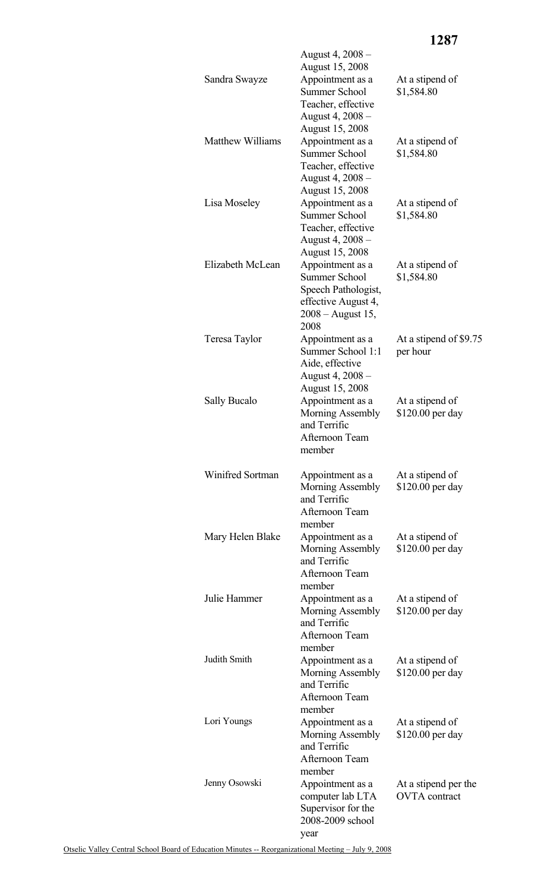| Sandra Swayze           | August 4, 2008 –<br><b>August 15, 2008</b><br>Appointment as a<br><b>Summer School</b><br>Teacher, effective<br>August 4, 2008 – | At a stipend of<br>\$1,584.80                |
|-------------------------|----------------------------------------------------------------------------------------------------------------------------------|----------------------------------------------|
| <b>Matthew Williams</b> | August 15, 2008<br>Appointment as a<br><b>Summer School</b><br>Teacher, effective<br>August 4, 2008 –<br><b>August 15, 2008</b>  | At a stipend of<br>\$1,584.80                |
| Lisa Moseley            | Appointment as a<br><b>Summer School</b><br>Teacher, effective<br>August 4, 2008 –<br><b>August 15, 2008</b>                     | At a stipend of<br>\$1,584.80                |
| Elizabeth McLean        | Appointment as a<br><b>Summer School</b><br>Speech Pathologist,<br>effective August 4,<br>$2008 -$ August 15,<br>2008            | At a stipend of<br>\$1,584.80                |
| Teresa Taylor           | Appointment as a<br>Summer School 1:1<br>Aide, effective<br>August 4, 2008 -<br><b>August 15, 2008</b>                           | At a stipend of \$9.75<br>per hour           |
| Sally Bucalo            | Appointment as a<br>Morning Assembly<br>and Terrific<br>Afternoon Team<br>member                                                 | At a stipend of<br>\$120.00 per day          |
| Winifred Sortman        | Appointment as a<br>Morning Assembly<br>and Terrific<br>Afternoon Team<br>member                                                 | At a stipend of<br>\$120.00 per day          |
| Mary Helen Blake        | Appointment as a<br>Morning Assembly<br>and Terrific<br>Afternoon Team<br>member                                                 | At a stipend of<br>\$120.00 per day          |
| Julie Hammer            | Appointment as a<br>Morning Assembly<br>and Terrific<br>Afternoon Team<br>member                                                 | At a stipend of<br>\$120.00 per day          |
| Judith Smith            | Appointment as a<br>Morning Assembly<br>and Terrific<br>Afternoon Team<br>member                                                 | At a stipend of<br>\$120.00 per day          |
| Lori Youngs             | Appointment as a<br>Morning Assembly<br>and Terrific<br>Afternoon Team<br>member                                                 | At a stipend of<br>\$120.00 per day          |
| Jenny Osowski           | Appointment as a<br>computer lab LTA<br>Supervisor for the<br>2008-2009 school<br>year                                           | At a stipend per the<br><b>OVTA</b> contract |

**1287**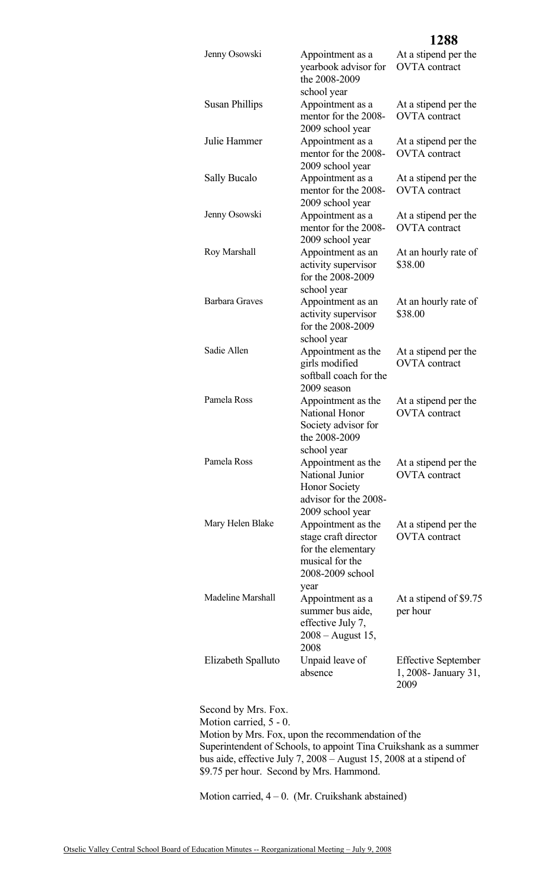| Jenny Osowski            | Appointment as a<br>yearbook advisor for<br>the 2008-2009<br>school year                                                            | At a stipend per the<br><b>OVTA</b> contract                |
|--------------------------|-------------------------------------------------------------------------------------------------------------------------------------|-------------------------------------------------------------|
| <b>Susan Phillips</b>    | Appointment as a<br>mentor for the 2008-<br>2009 school year                                                                        | At a stipend per the<br><b>OVTA</b> contract                |
| Julie Hammer             | Appointment as a<br>mentor for the 2008-<br>2009 school year                                                                        | At a stipend per the<br><b>OVTA</b> contract                |
| Sally Bucalo             | Appointment as a<br>mentor for the 2008-<br>2009 school year                                                                        | At a stipend per the<br><b>OVTA</b> contract                |
| Jenny Osowski            | Appointment as a<br>mentor for the 2008-<br>2009 school year                                                                        | At a stipend per the<br><b>OVTA</b> contract                |
| Roy Marshall             | Appointment as an<br>activity supervisor<br>for the 2008-2009<br>school year                                                        | At an hourly rate of<br>\$38.00                             |
| <b>Barbara Graves</b>    | Appointment as an<br>activity supervisor<br>for the 2008-2009<br>school year                                                        | At an hourly rate of<br>\$38.00                             |
| Sadie Allen              | Appointment as the<br>girls modified<br>softball coach for the<br>2009 season                                                       | At a stipend per the<br><b>OVTA</b> contract                |
| Pamela Ross              | Appointment as the<br>National Honor<br>Society advisor for<br>the 2008-2009<br>school year                                         | At a stipend per the<br><b>OVTA</b> contract                |
| Pamela Ross              | Appointment as the<br>National Junior<br><b>Honor Society</b><br>advisor for the 2008-                                              | At a stipend per the<br><b>OVTA</b> contract                |
| Mary Helen Blake         | 2009 school year<br>Appointment as the<br>stage craft director<br>for the elementary<br>musical for the<br>2008-2009 school<br>year | At a stipend per the<br><b>OVTA</b> contract                |
| <b>Madeline Marshall</b> | Appointment as a<br>summer bus aide,<br>effective July 7,<br>$2008 -$ August 15,<br>2008                                            | At a stipend of \$9.75<br>per hour                          |
| Elizabeth Spalluto       | Unpaid leave of<br>absence                                                                                                          | <b>Effective September</b><br>1, 2008 - January 31,<br>2009 |

**1288**

Second by Mrs. Fox. Motion carried, 5 - 0. Motion by Mrs. Fox, upon the recommendation of the Superintendent of Schools, to appoint Tina Cruikshank as a summer bus aide, effective July 7, 2008 – August 15, 2008 at a stipend of \$9.75 per hour. Second by Mrs. Hammond.

Motion carried,  $4 - 0$ . (Mr. Cruikshank abstained)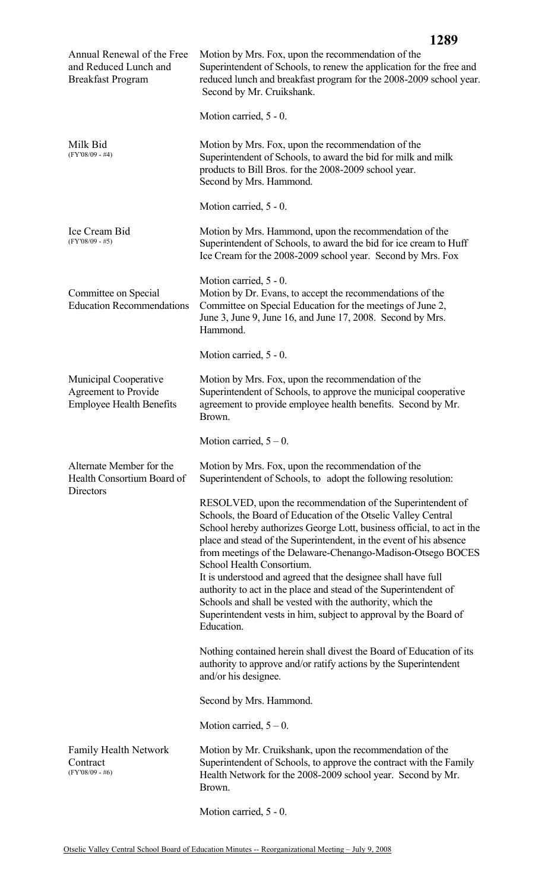|                                                                                         | 1289                                                                                                                                                                                                                                                                                                                                                                                                                                                                                                                                                                                                                                                        |
|-----------------------------------------------------------------------------------------|-------------------------------------------------------------------------------------------------------------------------------------------------------------------------------------------------------------------------------------------------------------------------------------------------------------------------------------------------------------------------------------------------------------------------------------------------------------------------------------------------------------------------------------------------------------------------------------------------------------------------------------------------------------|
| Annual Renewal of the Free<br>and Reduced Lunch and<br><b>Breakfast Program</b>         | Motion by Mrs. Fox, upon the recommendation of the<br>Superintendent of Schools, to renew the application for the free and<br>reduced lunch and breakfast program for the 2008-2009 school year.<br>Second by Mr. Cruikshank.                                                                                                                                                                                                                                                                                                                                                                                                                               |
|                                                                                         | Motion carried, 5 - 0.                                                                                                                                                                                                                                                                                                                                                                                                                                                                                                                                                                                                                                      |
| Milk Bid<br>$(FY'08/09 - #4)$                                                           | Motion by Mrs. Fox, upon the recommendation of the<br>Superintendent of Schools, to award the bid for milk and milk<br>products to Bill Bros. for the 2008-2009 school year.<br>Second by Mrs. Hammond.                                                                                                                                                                                                                                                                                                                                                                                                                                                     |
|                                                                                         | Motion carried, 5 - 0.                                                                                                                                                                                                                                                                                                                                                                                                                                                                                                                                                                                                                                      |
| Ice Cream Bid<br>$(FY'08/09 - #5)$                                                      | Motion by Mrs. Hammond, upon the recommendation of the<br>Superintendent of Schools, to award the bid for ice cream to Huff<br>Ice Cream for the 2008-2009 school year. Second by Mrs. Fox                                                                                                                                                                                                                                                                                                                                                                                                                                                                  |
| Committee on Special<br><b>Education Recommendations</b>                                | Motion carried, 5 - 0.<br>Motion by Dr. Evans, to accept the recommendations of the<br>Committee on Special Education for the meetings of June 2,<br>June 3, June 9, June 16, and June 17, 2008. Second by Mrs.<br>Hammond.                                                                                                                                                                                                                                                                                                                                                                                                                                 |
|                                                                                         | Motion carried, 5 - 0.                                                                                                                                                                                                                                                                                                                                                                                                                                                                                                                                                                                                                                      |
| <b>Municipal Cooperative</b><br>Agreement to Provide<br><b>Employee Health Benefits</b> | Motion by Mrs. Fox, upon the recommendation of the<br>Superintendent of Schools, to approve the municipal cooperative<br>agreement to provide employee health benefits. Second by Mr.<br>Brown.                                                                                                                                                                                                                                                                                                                                                                                                                                                             |
|                                                                                         | Motion carried, $5 - 0$ .                                                                                                                                                                                                                                                                                                                                                                                                                                                                                                                                                                                                                                   |
| Alternate Member for the<br>Health Consortium Board of<br>Directors                     | Motion by Mrs. Fox, upon the recommendation of the<br>Superintendent of Schools, to adopt the following resolution:                                                                                                                                                                                                                                                                                                                                                                                                                                                                                                                                         |
|                                                                                         | RESOLVED, upon the recommendation of the Superintendent of<br>Schools, the Board of Education of the Otselic Valley Central<br>School hereby authorizes George Lott, business official, to act in the<br>place and stead of the Superintendent, in the event of his absence<br>from meetings of the Delaware-Chenango-Madison-Otsego BOCES<br>School Health Consortium.<br>It is understood and agreed that the designee shall have full<br>authority to act in the place and stead of the Superintendent of<br>Schools and shall be vested with the authority, which the<br>Superintendent vests in him, subject to approval by the Board of<br>Education. |
|                                                                                         | Nothing contained herein shall divest the Board of Education of its<br>authority to approve and/or ratify actions by the Superintendent<br>and/or his designee.                                                                                                                                                                                                                                                                                                                                                                                                                                                                                             |
|                                                                                         | Second by Mrs. Hammond.                                                                                                                                                                                                                                                                                                                                                                                                                                                                                                                                                                                                                                     |
|                                                                                         | Motion carried, $5 - 0$ .                                                                                                                                                                                                                                                                                                                                                                                                                                                                                                                                                                                                                                   |
| <b>Family Health Network</b><br>Contract<br>$(FY'08/09 - #6)$                           | Motion by Mr. Cruikshank, upon the recommendation of the<br>Superintendent of Schools, to approve the contract with the Family<br>Health Network for the 2008-2009 school year. Second by Mr.<br>Brown.                                                                                                                                                                                                                                                                                                                                                                                                                                                     |

Motion carried, 5 - 0.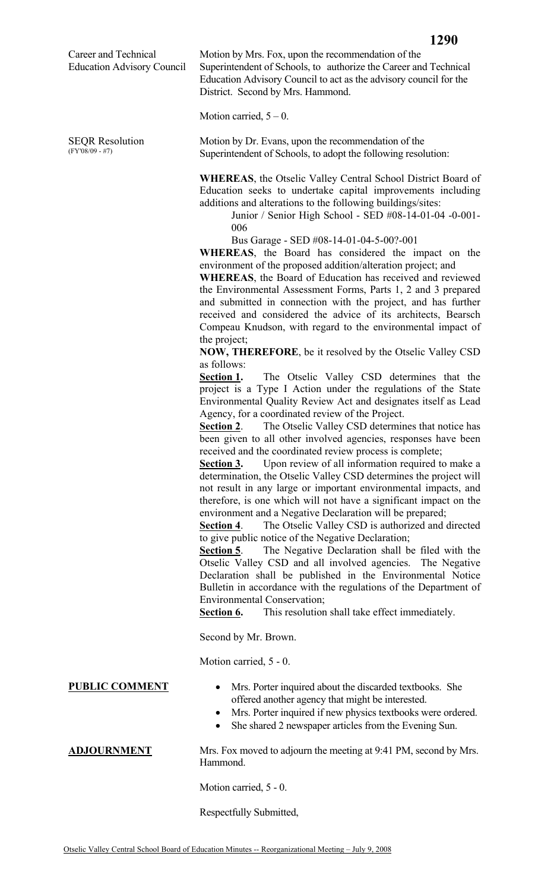Career and Technical Education Advisory Council

SEQR Resolution (FY'08/09 - #7)

Motion by Mrs. Fox, upon the recommendation of the Superintendent of Schools, to authorize the Career and Technical Education Advisory Council to act as the advisory council for the District. Second by Mrs. Hammond.

Motion carried,  $5 - 0$ .

Motion by Dr. Evans, upon the recommendation of the Superintendent of Schools, to adopt the following resolution:

**WHEREAS**, the Otselic Valley Central School District Board of Education seeks to undertake capital improvements including additions and alterations to the following buildings/sites:

Junior / Senior High School - SED #08-14-01-04 -0-001- 006

Bus Garage - SED #08-14-01-04-5-00?-001

**WHEREAS**, the Board has considered the impact on the environment of the proposed addition/alteration project; and

**WHEREAS**, the Board of Education has received and reviewed the Environmental Assessment Forms, Parts 1, 2 and 3 prepared and submitted in connection with the project, and has further received and considered the advice of its architects, Bearsch Compeau Knudson, with regard to the environmental impact of the project;

**NOW, THEREFORE**, be it resolved by the Otselic Valley CSD as follows:

**Section 1.** The Otselic Valley CSD determines that the project is a Type I Action under the regulations of the State Environmental Quality Review Act and designates itself as Lead Agency, for a coordinated review of the Project.

**Section 2**. The Otselic Valley CSD determines that notice has been given to all other involved agencies, responses have been received and the coordinated review process is complete;

**Section 3.** Upon review of all information required to make a determination, the Otselic Valley CSD determines the project will not result in any large or important environmental impacts, and therefore, is one which will not have a significant impact on the environment and a Negative Declaration will be prepared;

**Section 4**. The Otselic Valley CSD is authorized and directed to give public notice of the Negative Declaration;

**<u>Section 5</u>**. The Negative Declaration shall be filed with the Otselic Valley CSD and all involved agencies. The Negative Declaration shall be published in the Environmental Notice Bulletin in accordance with the regulations of the Department of Environmental Conservation;

**Section 6.** This resolution shall take effect immediately.

Second by Mr. Brown.

Motion carried, 5 - 0.

- **PUBLIC COMMENT** Mrs. Porter inquired about the discarded textbooks. She offered another agency that might be interested.
	- Mrs. Porter inquired if new physics textbooks were ordered.
	- She shared 2 newspaper articles from the Evening Sun.

**ADJOURNMENT** Mrs. Fox moved to adjourn the meeting at 9:41 PM, second by Mrs. Hammond.

Motion carried, 5 - 0.

Respectfully Submitted,